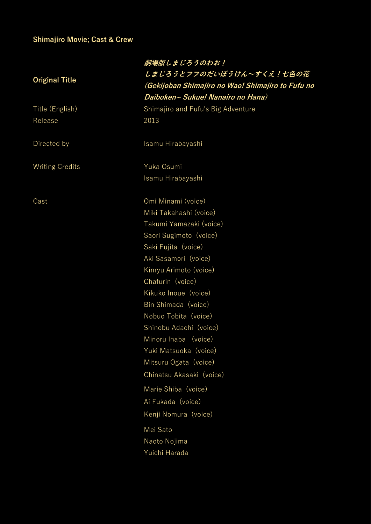## **Shimajiro Movie; Cast & Crew**

|                        | 劇場版しまじろうのわお!<br>しまじろうとフフのだいぼうけん~すくえ!七色の花          |
|------------------------|---------------------------------------------------|
| <b>Original Title</b>  | (Gekijoban Shimajiro no Wao! Shimajiro to Fufu no |
|                        | Daiboken~ Sukue! Nanairo no Hana)                 |
| Title (English)        | Shimajiro and Fufu's Big Adventure                |
| Release                | 2013                                              |
| Directed by            | Isamu Hirabayashi                                 |
| <b>Writing Credits</b> | Yuka Osumi                                        |
|                        | Isamu Hirabayashi                                 |
| Cast                   | Omi Minami (voice)                                |
|                        | Miki Takahashi (voice)                            |
|                        | Takumi Yamazaki (voice)                           |
|                        | Saori Sugimoto (voice)                            |
|                        | Saki Fujita (voice)                               |
|                        | Aki Sasamori (voice)                              |
|                        | Kinryu Arimoto (voice)                            |
|                        | Chafurin (voice)                                  |
|                        | Kikuko Inoue (voice)                              |
|                        | Bin Shimada (voice)                               |
|                        | Nobuo Tobita (voice)                              |
|                        | Shinobu Adachi (voice)                            |
|                        | Minoru Inaba (voice)                              |
|                        | Yuki Matsuoka (voice)                             |
|                        | Mitsuru Ogata (voice)                             |
|                        | Chinatsu Akasaki (voice)                          |
|                        | Marie Shiba (voice)                               |
|                        | Ai Fukada (voice)                                 |
|                        | Kenji Nomura (voice)                              |
|                        | Mei Sato                                          |
|                        | Naoto Nojima                                      |
|                        | Yuichi Harada                                     |
|                        |                                                   |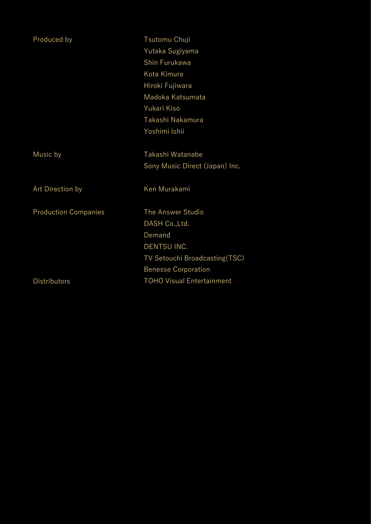| Produced by                 | Tsutomu Chuji                    |
|-----------------------------|----------------------------------|
|                             | Yutaka Sugiyama                  |
|                             | Shin Furukawa                    |
|                             | Kota Kimura                      |
|                             | Hiroki Fujiwara                  |
|                             | Madoka Katsumata                 |
|                             | Yukari Kiso                      |
|                             | Takashi Nakamura                 |
|                             | Yoshimi Ishii                    |
| Music by                    | Takashi Watanabe                 |
|                             | Sony Music Direct (Japan) Inc.   |
| Art Direction by            | Ken Murakami                     |
| <b>Production Companies</b> | The Answer Studio                |
|                             | DASH Co., Ltd.                   |
|                             | Demand                           |
|                             | DENTSU INC.                      |
|                             | TV Setouchi Broadcasting(TSC)    |
|                             | <b>Benesse Corporation</b>       |
| <b>Distributors</b>         | <b>TOHO Visual Entertainment</b> |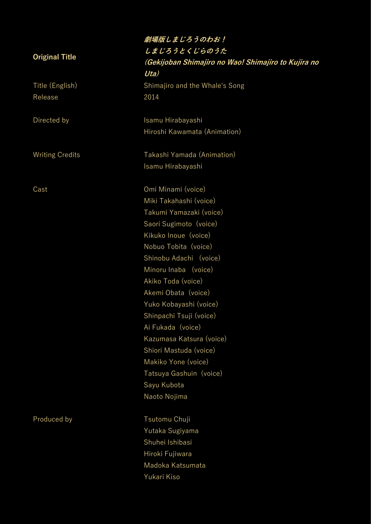Release 2014

## **劇場版しまじろうのわお! しまじろうとくじらのうた (Gekijoban Shimajiro no Wao! Shimajiro to Kujira no Uta)** Title (English) Shimajiro and the Whale's Song Directed by **Isamu Hirabayashi** Hiroshi Kawamata (Animation) Writing Credits **Takashi Yamada** (Animation) Isamu Hirabayashi Cast Omi Minami (voice) Miki Takahashi (voice) Takumi Yamazaki (voice) Saori Sugimoto (voice) Kikuko Inoue (voice) Nobuo Tobita (voice) Shinobu Adachi (voice) Minoru Inaba (voice) Akiko Toda (voice) Akemi Obata (voice) Yuko Kobayashi (voice) Shinpachi Tsuji (voice) Ai Fukada (voice) Kazumasa Katsura (voice) Shiori Mastuda (voice) Makiko Yone (voice) Tatsuya Gashuin (voice) Sayu Kubota Naoto Nojima Produced by Tsutomu Chuji Yutaka Sugiyama Shuhei Ishibasi Hiroki Fujiwara

Madoka Katsumata Yukari Kiso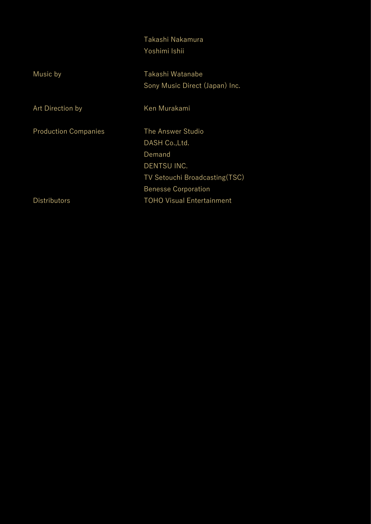### Takashi Nakamura Yoshimi Ishii

| Music by                    | Takashi Watanabe                 |
|-----------------------------|----------------------------------|
|                             | Sony Music Direct (Japan) Inc.   |
| Art Direction by            | Ken Murakami                     |
|                             |                                  |
| <b>Production Companies</b> | The Answer Studio                |
|                             | DASH Co., Ltd.                   |
|                             | Demand                           |
|                             | DENTSU INC.                      |
|                             | TV Setouchi Broadcasting (TSC)   |
|                             | <b>Benesse Corporation</b>       |
| <b>Distributors</b>         | <b>TOHO Visual Entertainment</b> |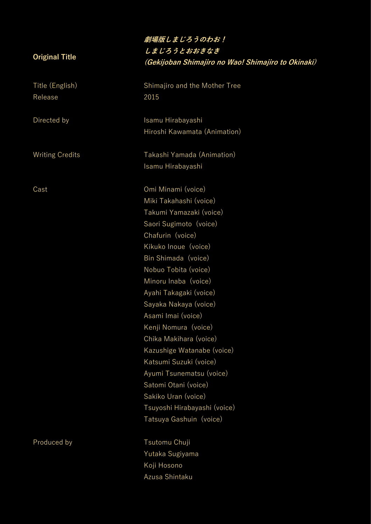Release 2015

## **劇場版しまじろうのわお! しまじろうとおおきなき (Gekijoban Shimajiro no Wao! Shimajiro to Okinaki)**

Title (English) Shimajiro and the Mother Tree

Directed by **Isamu Hirabayashi** Hiroshi Kawamata (Animation)

Writing Credits Takashi Yamada (Animation) Isamu Hirabayashi

Cast Omi Minami (voice) Miki Takahashi (voice) Takumi Yamazaki (voice) Saori Sugimoto (voice) Chafurin (voice) Kikuko Inoue (voice) Bin Shimada (voice) Nobuo Tobita (voice) Minoru Inaba (voice) Ayahi Takagaki (voice) Sayaka Nakaya (voice) Asami Imai (voice) Kenji Nomura (voice) Chika Makihara (voice) Kazushige Watanabe (voice) Katsumi Suzuki (voice) Ayumi Tsunematsu (voice) Satomi Otani (voice) Sakiko Uran (voice) Tsuyoshi Hirabayashi (voice) Tatsuya Gashuin (voice)

Produced by Tsutomu Chuji Yutaka Sugiyama Koji Hosono Azusa Shintaku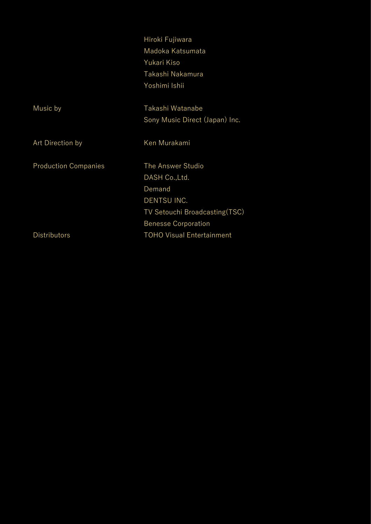|                             | Hiroki Fujiwara                  |
|-----------------------------|----------------------------------|
|                             | Madoka Katsumata                 |
|                             | Yukari Kiso                      |
|                             | Takashi Nakamura                 |
|                             | Yoshimi Ishii                    |
| Music by                    | Takashi Watanabe                 |
|                             | Sony Music Direct (Japan) Inc.   |
| Art Direction by            | Ken Murakami                     |
| <b>Production Companies</b> | The Answer Studio                |
|                             | DASH Co., Ltd.                   |
|                             | Demand                           |
|                             | DENTSU INC.                      |
|                             | TV Setouchi Broadcasting (TSC)   |
|                             | <b>Benesse Corporation</b>       |
| <b>Distributors</b>         | <b>TOHO Visual Entertainment</b> |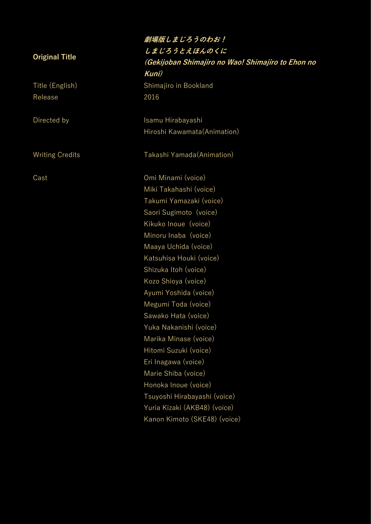Release 2016

**劇場版しまじろうのわお! しまじろうとえほんのくに (Gekijoban Shimajiro no Wao! Shimajiro to Ehon no Kuni)** Title (English) Shimajiro in Bookland Directed by **Isamu Hirabayashi** Hiroshi Kawamata(Animation) Writing Credits Takashi Yamada(Animation) Cast Omi Minami (voice) Miki Takahashi (voice) Takumi Yamazaki (voice) Saori Sugimoto (voice) Kikuko Inoue (voice) Minoru Inaba (voice) Maaya Uchida (voice) Katsuhisa Houki (voice) Shizuka Itoh (voice) Kozo Shioya (voice) Ayumi Yoshida (voice) Megumi Toda (voice) Sawako Hata (voice) Yuka Nakanishi (voice) Marika Minase (voice) Hitomi Suzuki (voice) Eri Inagawa (voice) Marie Shiba (voice) Honoka Inoue (voice) Tsuyoshi Hirabayashi (voice) Yuria Kizaki (AKB48) (voice)

Kanon Kimoto (SKE48) (voice)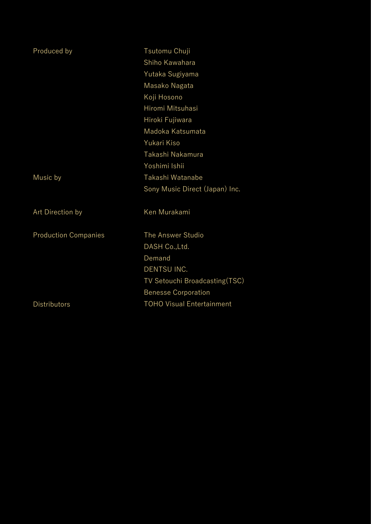| Produced by                 | Tsutomu Chuji                    |
|-----------------------------|----------------------------------|
|                             | Shiho Kawahara                   |
|                             | Yutaka Sugiyama                  |
|                             | Masako Nagata                    |
|                             | Koji Hosono                      |
|                             | Hiromi Mitsuhasi                 |
|                             | Hiroki Fujiwara                  |
|                             | Madoka Katsumata                 |
|                             | Yukari Kiso                      |
|                             | Takashi Nakamura                 |
|                             | Yoshimi Ishii                    |
| Music by                    | Takashi Watanabe                 |
|                             | Sony Music Direct (Japan) Inc.   |
| Art Direction by            | Ken Murakami                     |
| <b>Production Companies</b> | The Answer Studio                |
|                             | DASH Co., Ltd.                   |
|                             | Demand                           |
|                             | DENTSU INC.                      |
|                             | TV Setouchi Broadcasting(TSC)    |
|                             | <b>Benesse Corporation</b>       |
| <b>Distributors</b>         | <b>TOHO Visual Entertainment</b> |
|                             |                                  |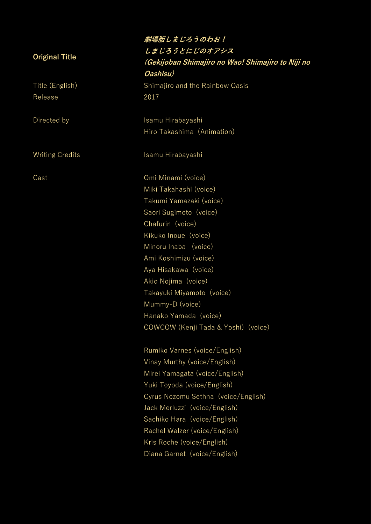Release 2017

**劇場版しまじろうのわお! しまじろうとにじのオアシス (Gekijoban Shimajiro no Wao! Shimajiro to Niji no Oashisu)** Title (English) Shimajiro and the Rainbow Oasis Directed by **Isamu Hirabayashi** Hiro Takashima (Animation) Writing Credits **Isamu Hirabayashi** Cast Omi Minami (voice) Miki Takahashi (voice) Takumi Yamazaki (voice) Saori Sugimoto (voice) Chafurin (voice) Kikuko Inoue (voice) Minoru Inaba (voice) Ami Koshimizu (voice) Aya Hisakawa (voice) Akio Nojima (voice) Takayuki Miyamoto (voice) Mummy-D (voice) Hanako Yamada (voice) COWCOW (Kenji Tada & Yoshi) (voice) Rumiko Varnes (voice/English)

Vinay Murthy (voice/English) Mirei Yamagata (voice/English) Yuki Toyoda (voice/English) Cyrus Nozomu Sethna (voice/English) Jack Merluzzi (voice/English) Sachiko Hara (voice/English) Rachel Walzer (voice/English) Kris Roche (voice/English) Diana Garnet (voice/English)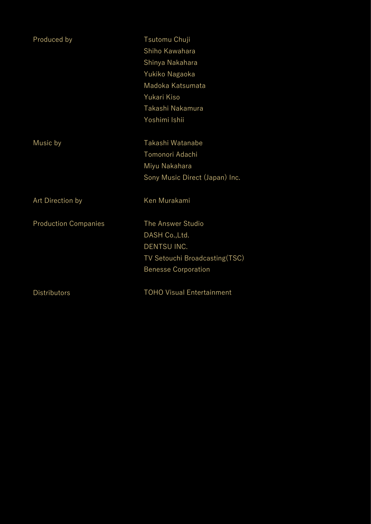| Produced by                 | Tsutomu Chuji<br>Shiho Kawahara<br>Shinya Nakahara<br>Yukiko Nagaoka<br>Madoka Katsumata<br>Yukari Kiso<br>Takashi Nakamura<br>Yoshimi Ishii |
|-----------------------------|----------------------------------------------------------------------------------------------------------------------------------------------|
| Music by                    | Takashi Watanabe<br>Tomonori Adachi<br>Miyu Nakahara<br>Sony Music Direct (Japan) Inc.                                                       |
| Art Direction by            | Ken Murakami                                                                                                                                 |
| <b>Production Companies</b> | The Answer Studio<br>DASH Co., Ltd.<br>DENTSU INC.<br>TV Setouchi Broadcasting(TSC)<br><b>Benesse Corporation</b>                            |
| <b>Distributors</b>         | <b>TOHO Visual Entertainment</b>                                                                                                             |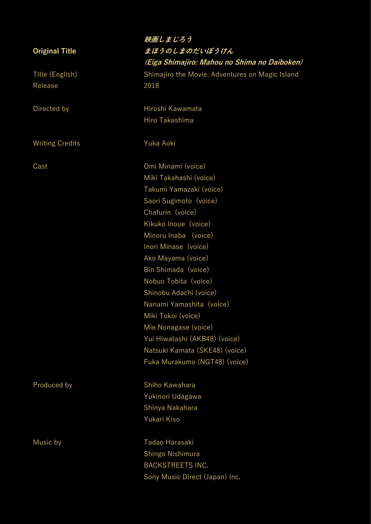Release 2018

Writing Credits **Yuka Aoki** 

**映画しまじろう まほうのしまのだいぼうけん (Eiga Shimajiro: Mahou no Shima no Daiboken)** Title (English) Shimajiro the Movie: Adventures on Magic Island

Directed by **Hiroshi Kawamata** Hiro Takashima

Cast Omi Minami (voice) Miki Takahashi (voice) Takumi Yamazaki (voice) Saori Sugimoto (voice) Chafurin (voice) Kikuko Inoue (voice) Minoru Inaba (voice) Inori Minase (voice) Ako Mayama (voice) Bin Shimada (voice) Nobuo Tobita (voice) Shinobu Adachi (voice) Nanami Yamashita (voice) Miki Tokoi (voice) Mie Nonagase (voice) Yui Hiwatashi (AKB48) (voice) Natsuki Kamata (SKE48) (voice) Fuka Murakumo (NGT48) (voice)

Produced by Shiho Kawahara Yukinori Udagawa Shinya Nakahara Yukari Kiso

Music by **Tadao Harasaki** Shingo Nishimura BACKSTREETS INC. Sony Music Direct (Japan) Inc.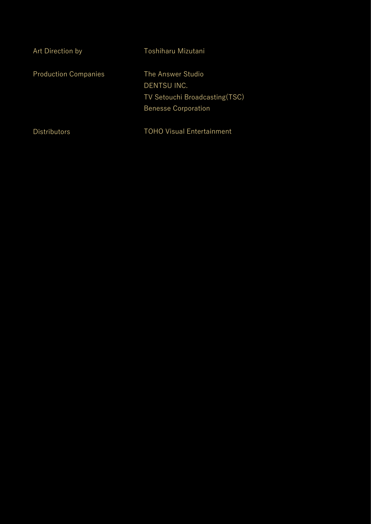| Art Direction by            | Toshiharu Mizutani                                                                               |
|-----------------------------|--------------------------------------------------------------------------------------------------|
| <b>Production Companies</b> | The Answer Studio<br>DENTSU INC.<br>TV Setouchi Broadcasting (TSC)<br><b>Benesse Corporation</b> |
| <b>Distributors</b>         | <b>TOHO Visual Entertainment</b>                                                                 |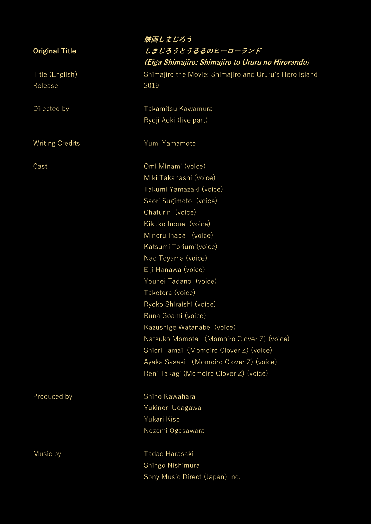Release 2019

# **映画しまじろう しまじろうとうるるのヒーローランド (Eiga Shimajiro: Shimajiro to Ururu no Hirorando)** Title (English) Shimajiro the Movie: Shimajiro and Ururu's Hero Island

Directed by **Takamitsu Kawamura** Ryoji Aoki (live part)

Writing Credits **Yumi Yamamoto** 

Cast Omi Minami (voice) Miki Takahashi (voice) Takumi Yamazaki (voice) Saori Sugimoto (voice) Chafurin (voice) Kikuko Inoue (voice) Minoru Inaba (voice) Katsumi Toriumi(voice) Nao Toyama (voice) Eiji Hanawa (voice) Youhei Tadano (voice) Taketora (voice) Ryoko Shiraishi (voice) Runa Goami (voice) Kazushige Watanabe (voice) Natsuko Momota (Momoiro Clover Z) (voice) Shiori Tamai (Momoiro Clover Z) (voice) Ayaka Sasaki (Momoiro Clover Z) (voice) Reni Takagi (Momoiro Clover Z) (voice)

Produced by Shiho Kawahara Yukinori Udagawa Yukari Kiso Nozomi Ogasawara

Music by Tadao Harasaki Shingo Nishimura Sony Music Direct (Japan) Inc.